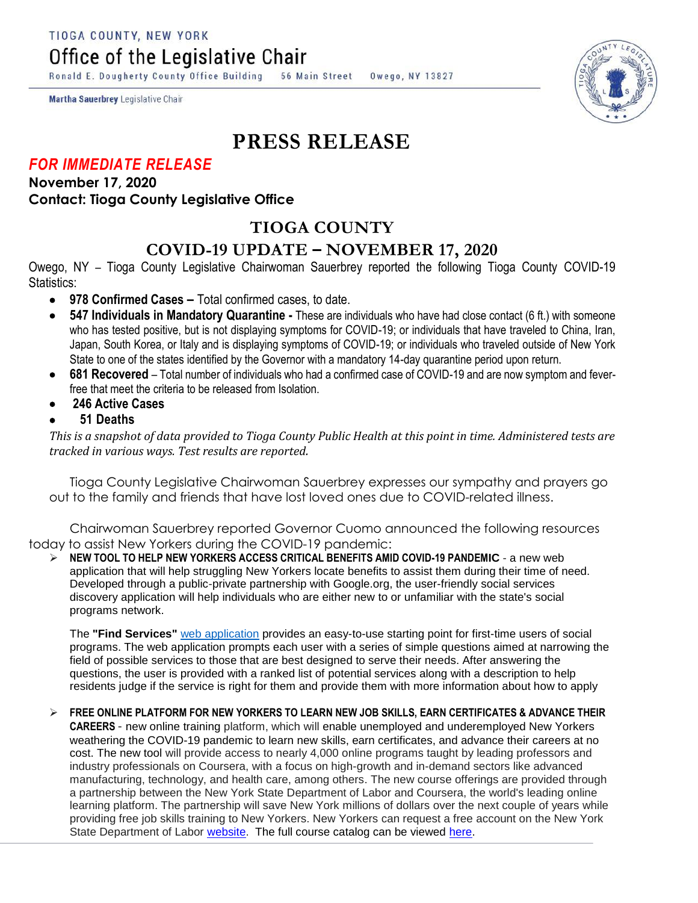TIOGA COUNTY, NEW YORK

Office of the Legislative Chair

Ronald E. Dougherty County Office Building 56 Main Street Owego, NY 13827

Martha Sauerbrey Legislative Chair

# **PRESS RELEASE**

### *FOR IMMEDIATE RELEASE*

**November 17, 2020 Contact: Tioga County Legislative Office**

# **TIOGA COUNTY**

## **COVID-19 UPDATE – NOVEMBER 17, 2020**

Owego, NY – Tioga County Legislative Chairwoman Sauerbrey reported the following Tioga County COVID-19 Statistics:

- **978 Confirmed Cases –** Total confirmed cases, to date.
- **547 Individuals in Mandatory Quarantine -** These are individuals who have had close contact (6 ft.) with someone who has tested positive, but is not displaying symptoms for COVID-19; or individuals that have traveled to China, Iran, Japan, South Korea, or Italy and is displaying symptoms of COVID-19; or individuals who traveled outside of New York State to one of the states identified by the Governor with a mandatory 14-day quarantine period upon return.
- **681 Recovered**  Total number of individuals who had a confirmed case of COVID-19 and are now symptom and feverfree that meet the criteria to be released from Isolation.
- **246 Active Cases**
- **51 Deaths**

*This is a snapshot of data provided to Tioga County Public Health at this point in time. Administered tests are tracked in various ways. Test results are reported.*

Tioga County Legislative Chairwoman Sauerbrey expresses our sympathy and prayers go out to the family and friends that have lost loved ones due to COVID-related illness.

Chairwoman Sauerbrey reported Governor Cuomo announced the following resources today to assist New Yorkers during the COVID-19 pandemic:

 **NEW TOOL TO HELP NEW YORKERS ACCESS CRITICAL BENEFITS AMID COVID-19 PANDEMIC** - a new web application that will help struggling New Yorkers locate benefits to assist them during their time of need. Developed through a public-private partnership with Google.org, the user-friendly social services discovery application will help individuals who are either new to or unfamiliar with the state's social programs network.

The **"Find Services"** web [application](http://findservices.ny.gov/) provides an easy-to-use starting point for first-time users of social programs. The web application prompts each user with a series of simple questions aimed at narrowing the field of possible services to those that are best designed to serve their needs. After answering the questions, the user is provided with a ranked list of potential services along with a description to help residents judge if the service is right for them and provide them with more information about how to apply

#### **FREE ONLINE PLATFORM FOR NEW YORKERS TO LEARN NEW JOB SKILLS, EARN CERTIFICATES & ADVANCE THEIR**

**CAREERS** - new online training platform, which will enable unemployed and underemployed New Yorkers weathering the COVID-19 pandemic to learn new skills, earn certificates, and advance their careers at no cost. The new tool will provide access to nearly 4,000 online programs taught by leading professors and industry professionals on Coursera, with a focus on high-growth and in-demand sectors like advanced manufacturing, technology, and health care, among others. The new course offerings are provided through a partnership between the New York State Department of Labor and Coursera, the world's leading online learning platform. The partnership will save New York millions of dollars over the next couple of years while providing free job skills training to New Yorkers. New Yorkers can request a free account on the New York State Department of Labor [website.](https://labor.ny.gov/careerservices/coursera/coursera.shtm) The full course catalog can be viewed [here.](https://www.coursera.org/browse)